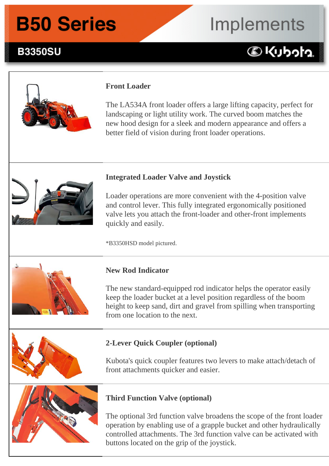## Implements

### **B3350SU B3350SU Front Loader and Backhoe Implements:**

### 



#### **Front Loader**

The LA534A front loader offers a large lifting capacity, perfect for landscaping or light utility work. The curved boom matches the new hood design for a sleek and modern appearance and offers a better field of vision during front loader operations.



#### **Integrated Loader Valve and Joystick**

Loader operations are more convenient with the 4-position valve and control lever. This fully integrated ergonomically positioned valve lets you attach the front-loader and other-front implements quickly and easily.

\*B3350HSD model pictured.



#### **New Rod Indicator**

The new standard-equipped rod indicator helps the operator easily keep the loader bucket at a level position regardless of the boom height to keep sand, dirt and gravel from spilling when transporting from one location to the next.

### **2-Lever Quick Coupler (optional)**

Kubota's quick coupler features two levers to make attach/detach of front attachments quicker and easier.



#### **Third Function Valve (optional)**

The optional 3rd function valve broadens the scope of the front loader operation by enabling use of a grapple bucket and other hydraulically controlled attachments. The 3rd function valve can be activated with buttons located on the grip of the joystick.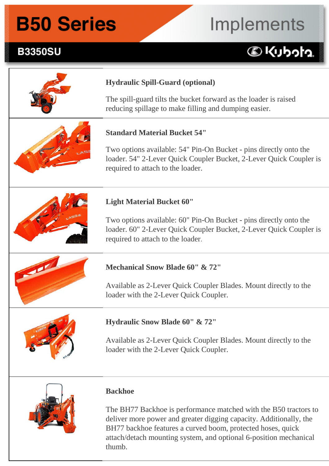### **B3350SU**

# Implements

### **DKUbota**





#### **Backhoe**

The BH77 Backhoe is performance matched with the B50 tractors to deliver more power and greater digging capacity. Additionally, the BH77 backhoe features a curved boom, protected hoses, quick attach/detach mounting system, and optional 6-position mechanical thumb.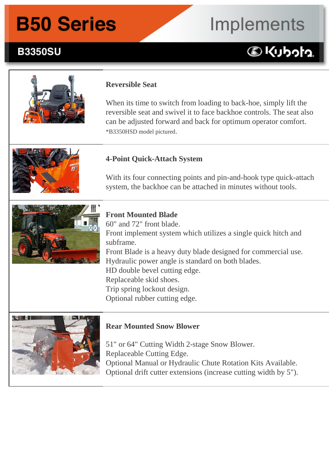## Implements

### **DKUbota**



**B3350SU** 

#### **Reversible Seat**

When its time to switch from loading to back-hoe, simply lift the reversible seat and swivel it to face backhoe controls. The seat also can be adjusted forward and back for optimum operator comfort. \*B3350HSD model pictured.



#### **4-Point Quick-Attach System**

With its four connecting points and pin-and-hook type quick-attach system, the backhoe can be attached in minutes without tools.



### **Front Mounted Blade**

60" and 72" front blade. Front implement system which utilizes a single quick hitch and subframe. Front Blade is a heavy duty blade designed for commercial use. Hydraulic power angle is standard on both blades. HD double bevel cutting edge. Replaceable skid shoes. Trip spring lockout design. Optional rubber cutting edge.



#### **Rear Mounted Snow Blower**

 $\overline{a}$ 

 $\overline{a}$ 

51" or 64" Cutting Width 2-stage Snow Blower. Replaceable Cutting Edge. Optional Manual or Hydraulic Chute Rotation Kits Available. Optional drift cutter extensions (increase cutting width by 5").